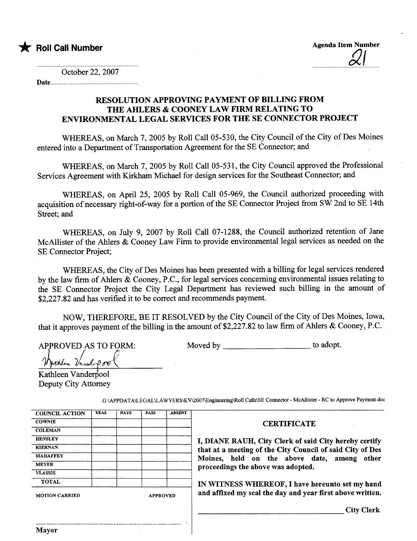

October 22, 2007

Date........... ...................................................................

## RESOLUTION APPROVING PAYMENT OF BILLING FROM THE AHLERS & COONEY LAW FIRM RELATING TO ENVRONMENTAL LEGAL SERVICES FOR THE SE CONNECTOR PROJECT

WHEREAS, on March 7, 2005 by Roll Call 05-530, the City Council of the City of Des Moines entered into a Department of Transportation Agreement for the SE Connector; and

WHEREAS, on March 7, 2005 by Roll Call 05-531, the City Council approved the Professional Services Agreement with Kirkham Michael for design services for the Southeast Connector; and

WHEREAS, on April 25, 2005 by Roll Call 05-969, the Council authorized proceeding with acquisition of necessary right-of-way for a portion of the SE Connector Project from SW 2nd to SE 14th Street; and

WHEREAS, on July 9, 2007 by Roll Call 07-1288, the Council authorized retention of Jane McAllster of the Ahers & Cooney Law Firm to provide environmental legal services as needed on the SE Connector Project;

WHEREAS, the City of Des Moines has been presented with a biling for legal services rendered by the law firm of Ahlers & Cooney, P.C., for legal services concerning environmental issues relating to the SE Connector Project the City Legal Deparment has reviewed such biling in the amount of \$2,227.82 and has verified it to be correct and recommends payment.

NOW, THEREFORE, BE IT RESOLVED by the City Council of the City of Des Moines, Iowa, that it approves payment of the biling in the amount of \$2,227.82 to law firm of Ahers & Cooney, P.C.

Moved by to adopt.

APPROVED AS TO FORM:<br>"Withlen Vanal-Pool

Kathleen Vanderpool Deputy City Attorney

Mayor

| <b>COUNCIL ACTION</b> | <b>YEAS</b> | <b>NAYS</b> | <b>PASS</b>     | <b>ABSENT</b> |                                                           |
|-----------------------|-------------|-------------|-----------------|---------------|-----------------------------------------------------------|
|                       |             |             |                 |               |                                                           |
| <b>COWNIE</b>         |             |             |                 |               | <b>CERTIFICATE</b>                                        |
| <b>COLEMAN</b>        |             |             |                 |               |                                                           |
| <b>HENSLEY</b>        |             |             |                 |               | I, DIANE RAUH, City Clerk of said City hereby certify     |
| <b>KIERNAN</b>        |             |             |                 |               | that at a meeting of the City Council of said City of Des |
| <b>MAHAFFEY</b>       |             |             |                 |               | Moines, held on the above date, among<br>other            |
| <b>MEYER</b>          |             |             |                 |               | proceedings the above was adopted.                        |
| <b>VLASSIS</b>        |             |             |                 |               |                                                           |
| <b>TOTAL</b>          |             |             |                 |               | IN WITNESS WHEREOF, I have hereunto set my hand           |
| <b>MOTION CARRIED</b> |             |             | <b>APPROVED</b> |               | and affixed my seal the day and year first above written. |
|                       |             |             |                 |               | <b>City Clerk</b>                                         |
|                       |             |             |                 |               |                                                           |

G:\APDAT A\LEGAL\LA WYERS\KV\007\Engineering\Roll Calls\SE Connector - McAllister - RC to Approve Payment.doc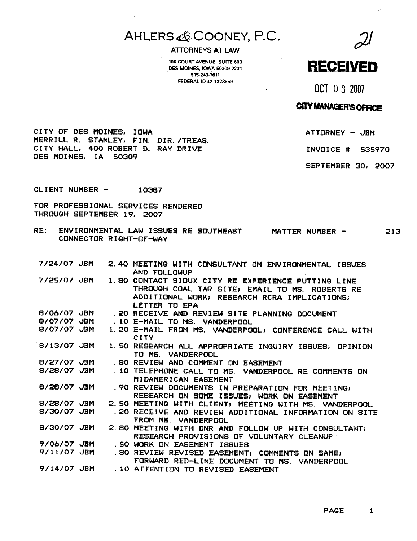# AHLERS & COONEY, P.C. 2

100 COURT AVENUE, SUITE 600<br>DES MOINES, IOWA 50309-2231 DES MOINES, IOWA 50309-2231 515-243-7611 FEDERAL 10 42-1323559

 $\ddot{\phantom{a}}$ 

OCT 0 3 2007

# **CITY MANAGER'S OFFICE**

ATTORNEY - JBM

INVOICE # 535970

SEPTEMBER 30, 2007

CITY OF DES MOINES, IOWA MERRILL R. STANLEY, FIN. DIR. /TREAS. CITY HALL, 400 ROBERT D. RAY DRIVE DES MOINES, IA 50309

CLIENT NUMBER -10387

FOR PROFESSIONAL SERVICES RENDERED THROUGH SEPTEMBER 19, 2007

RE: ENVIRONMENTAL LAW ISSUES RE SOUTHEAST CONNECTOR RIGHT-OF-WAY MATTER NUMBER - 213

| 7/25/07 JBM<br>1.80 CONTACT SIOUX CITY RE EXPERIENCE PUTTING LINE<br>THROUGH COAL TAR SITE; EMAIL TO MS. ROBERTS RE<br>ADDITIONAL WORK; RESEARCH RCRA IMPLICATIONS;<br>LETTER TO EPA<br>8/06/07 JBM<br>. 20 RECEIVE AND REVIEW SITE PLANNING DOCUMENT<br>8/07/07<br><b>JBM</b><br>.10 E-MAIL TO MS. VANDERPOOL<br>8/07/07 JBM<br>1.20 E-MAIL FROM MS. VANDERPOOL; CONFERENCE CALL WITH<br><b>CITY</b><br>8/13/07 JBM<br>1.50 RESEARCH ALL APPROPRIATE INQUIRY ISSUES; OPINION<br>TO MS. VANDERPOOL<br>8/27/07 JBM<br>.80 REVIEW AND COMMENT ON EASEMENT<br>8/28/07 JBM<br>. 10 TELEPHONE CALL TO MS. VANDERPOOL RE COMMENTS ON<br>MIDAMERICAN EASEMENT<br>8/28/07 JBM<br>. 90 REVIEW DOCUMENTS IN PREPARATION FOR MEETING;<br>RESEARCH ON SOME ISSUES; WORK ON EASEMENT<br>8/28/07 JBM<br>2. 50 MEETING WITH CLIENT; MEETING WITH MS. VANDERPOOL<br>8/30/07 JBM<br>.20 RECEIVE<br>FROM MS. VANDERPOOL<br>8/30/07 JBM<br>2. BO MEETING WITH DNR AND FOLLOW UP WITH CONSULTANT;<br>RESEARCH PROVISIONS OF VOLUNTARY CLEANUP<br>9/06/07 JBM<br>. SO WORK ON EASEMENT ISSUES<br>9/11/07 JBM<br>.80 REVIEW REVISED EASEMENT; COMMENTS ON SAME;<br>FORWARD RED-LINE DOCUMENT TO MS.<br>VANDERPOOL<br>9/14/07 JBM<br>.10 ATTENTION TO REVISED EASEMENT | 7/24/07 JBM |  | 2. 40 MEETING WITH CONSULTANT ON ENVIRONMENTAL ISSUES<br>AND FOLLOWUP |
|-------------------------------------------------------------------------------------------------------------------------------------------------------------------------------------------------------------------------------------------------------------------------------------------------------------------------------------------------------------------------------------------------------------------------------------------------------------------------------------------------------------------------------------------------------------------------------------------------------------------------------------------------------------------------------------------------------------------------------------------------------------------------------------------------------------------------------------------------------------------------------------------------------------------------------------------------------------------------------------------------------------------------------------------------------------------------------------------------------------------------------------------------------------------------------------------------------------------------------------------------|-------------|--|-----------------------------------------------------------------------|
|                                                                                                                                                                                                                                                                                                                                                                                                                                                                                                                                                                                                                                                                                                                                                                                                                                                                                                                                                                                                                                                                                                                                                                                                                                                 |             |  |                                                                       |
|                                                                                                                                                                                                                                                                                                                                                                                                                                                                                                                                                                                                                                                                                                                                                                                                                                                                                                                                                                                                                                                                                                                                                                                                                                                 |             |  |                                                                       |
|                                                                                                                                                                                                                                                                                                                                                                                                                                                                                                                                                                                                                                                                                                                                                                                                                                                                                                                                                                                                                                                                                                                                                                                                                                                 |             |  |                                                                       |
|                                                                                                                                                                                                                                                                                                                                                                                                                                                                                                                                                                                                                                                                                                                                                                                                                                                                                                                                                                                                                                                                                                                                                                                                                                                 |             |  |                                                                       |
|                                                                                                                                                                                                                                                                                                                                                                                                                                                                                                                                                                                                                                                                                                                                                                                                                                                                                                                                                                                                                                                                                                                                                                                                                                                 |             |  |                                                                       |
|                                                                                                                                                                                                                                                                                                                                                                                                                                                                                                                                                                                                                                                                                                                                                                                                                                                                                                                                                                                                                                                                                                                                                                                                                                                 |             |  |                                                                       |
|                                                                                                                                                                                                                                                                                                                                                                                                                                                                                                                                                                                                                                                                                                                                                                                                                                                                                                                                                                                                                                                                                                                                                                                                                                                 |             |  |                                                                       |
|                                                                                                                                                                                                                                                                                                                                                                                                                                                                                                                                                                                                                                                                                                                                                                                                                                                                                                                                                                                                                                                                                                                                                                                                                                                 |             |  |                                                                       |
|                                                                                                                                                                                                                                                                                                                                                                                                                                                                                                                                                                                                                                                                                                                                                                                                                                                                                                                                                                                                                                                                                                                                                                                                                                                 |             |  |                                                                       |
|                                                                                                                                                                                                                                                                                                                                                                                                                                                                                                                                                                                                                                                                                                                                                                                                                                                                                                                                                                                                                                                                                                                                                                                                                                                 |             |  | AND REVIEW ADDITIONAL INFORMATION ON SITE                             |
|                                                                                                                                                                                                                                                                                                                                                                                                                                                                                                                                                                                                                                                                                                                                                                                                                                                                                                                                                                                                                                                                                                                                                                                                                                                 |             |  |                                                                       |
|                                                                                                                                                                                                                                                                                                                                                                                                                                                                                                                                                                                                                                                                                                                                                                                                                                                                                                                                                                                                                                                                                                                                                                                                                                                 |             |  |                                                                       |
|                                                                                                                                                                                                                                                                                                                                                                                                                                                                                                                                                                                                                                                                                                                                                                                                                                                                                                                                                                                                                                                                                                                                                                                                                                                 |             |  |                                                                       |
|                                                                                                                                                                                                                                                                                                                                                                                                                                                                                                                                                                                                                                                                                                                                                                                                                                                                                                                                                                                                                                                                                                                                                                                                                                                 |             |  |                                                                       |